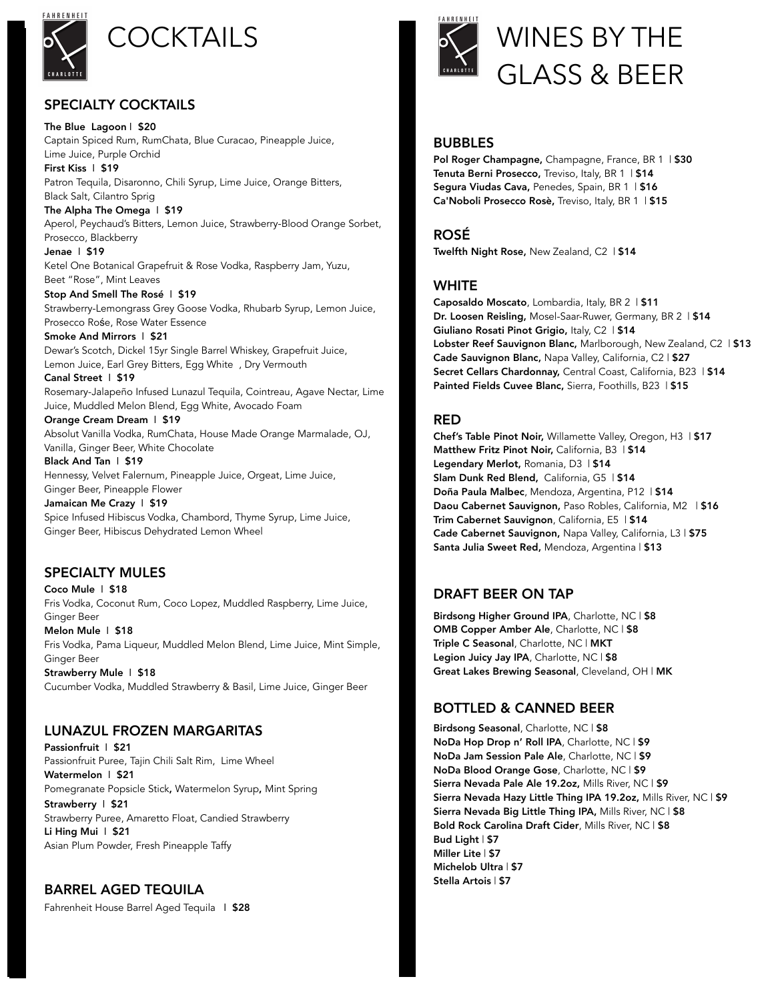

## SPECIALTY COCKTAILS

The Blue Lagoon | \$20 Captain Spiced Rum, RumChata, Blue Curacao, Pineapple Juice, Lime Juice, Purple Orchid First Kiss | \$19 Patron Tequila, Disaronno, Chili Syrup, Lime Juice, Orange Bitters, Black Salt, Cilantro Sprig The Alpha The Omega | \$19 Aperol, Peychaud's Bitters, Lemon Juice, Strawberry-Blood Orange Sorbet, Prosecco, Blackberry Jenae | \$19 Ketel One Botanical Grapefruit & Rose Vodka, Raspberry Jam, Yuzu, Beet "Rose", Mint Leaves Stop And Smell The Rosé | \$19 Strawberry-Lemongrass Grey Goose Vodka, Rhubarb Syrup, Lemon Juice, Prosecco Rośe, Rose Water Essence Smoke And Mirrors | \$21 Dewar's Scotch, Dickel 15yr Single Barrel Whiskey, Grapefruit Juice, Lemon Juice, Earl Grey Bitters, Egg White , Dry Vermouth Canal Street | \$19 Rosemary-Jalapeño Infused Lunazul Tequila, Cointreau, Agave Nectar, Lime Juice, Muddled Melon Blend, Egg White, Avocado Foam Orange Cream Dream | \$19 Absolut Vanilla Vodka, RumChata, House Made Orange Marmalade, OJ, Vanilla, Ginger Beer, White Chocolate Black And Tan | \$19 Hennessy, Velvet Falernum, Pineapple Juice, Orgeat, Lime Juice, Ginger Beer, Pineapple Flower Jamaican Me Crazy | \$19 Spice Infused Hibiscus Vodka, Chambord, Thyme Syrup, Lime Juice, Ginger Beer, Hibiscus Dehydrated Lemon Wheel

### SPECIALTY MULES

Coco Mule | \$18 Fris Vodka, Coconut Rum, Coco Lopez, Muddled Raspberry, Lime Juice, Ginger Beer Melon Mule | \$18 Fris Vodka, Pama Liqueur, Muddled Melon Blend, Lime Juice, Mint Simple,

Ginger Beer Strawberry Mule | \$18

Cucumber Vodka, Muddled Strawberry & Basil, Lime Juice, Ginger Beer

#### LUNAZUL FROZEN MARGARITAS

Passionfruit | \$21 Passionfruit Puree, Tajin Chili Salt Rim, Lime Wheel Watermelon | \$21 Pomegranate Popsicle Stick, Watermelon Syrup, Mint Spring Strawberry | \$21 Strawberry Puree, Amaretto Float, Candied Strawberry Li Hing Mui | \$21 Asian Plum Powder, Fresh Pineapple Taffy

# BARREL AGED TEQUILA

Fahrenheit House Barrel Aged Tequila | \$28



# COCKTAILS **IS A** WINES BY THE GLASS & BEER

#### BUBBLES

Pol Roger Champagne, Champagne, France, BR 1 | \$30 Tenuta Berni Prosecco, Treviso, Italy, BR 1 | \$14 Segura Viudas Cava, Penedes, Spain, BR 1 | \$16 Ca'Noboli Prosecco Rosè, Treviso, Italy, BR 1 | \$15

#### ROSÉ

Twelfth Night Rose, New Zealand, C2 | \$14

#### WHITE

Caposaldo Moscato, Lombardia, Italy, BR 2 | \$11 Dr. Loosen Reisling, Mosel-Saar-Ruwer, Germany, BR 2 | \$14 Giuliano Rosati Pinot Grigio, Italy, C2 | \$14 Lobster Reef Sauvignon Blanc, Marlborough, New Zealand, C2 | \$13 Cade Sauvignon Blanc, Napa Valley, California, C2 | \$27 Secret Cellars Chardonnay, Central Coast, California, B23 | \$14 Painted Fields Cuvee Blanc, Sierra, Foothills, B23 | \$15

### RED

Chef's Table Pinot Noir, Willamette Valley, Oregon, H3 | \$17 Matthew Fritz Pinot Noir, California, B3 | \$14 Legendary Merlot, Romania, D3 | \$14 Slam Dunk Red Blend, California, G5 | \$14 Doña Paula Malbec, Mendoza, Argentina, P12 | \$14 Daou Cabernet Sauvignon, Paso Robles, California, M2 | \$16 Trim Cabernet Sauvignon, California, E5 | \$14 Cade Cabernet Sauvignon, Napa Valley, California, L3 | \$75 Santa Julia Sweet Red, Mendoza, Argentina | \$13

### DRAFT BEER ON TAP

Birdsong Higher Ground IPA, Charlotte, NC | \$8 OMB Copper Amber Ale, Charlotte, NC | \$8 Triple C Seasonal, Charlotte, NC | MKT Legion Juicy Jay IPA, Charlotte, NC | \$8 Great Lakes Brewing Seasonal, Cleveland, OH | MK

# BOTTLED & CANNED BEER

Birdsong Seasonal, Charlotte, NC | \$8 NoDa Hop Drop n' Roll IPA, Charlotte, NC | \$9 NoDa Jam Session Pale Ale, Charlotte, NC | \$9 NoDa Blood Orange Gose, Charlotte, NC | \$9 Sierra Nevada Pale Ale 19.2oz, Mills River, NC | \$9 Sierra Nevada Hazy Little Thing IPA 19.2oz, Mills River, NC | \$9 Sierra Nevada Big Little Thing IPA, Mills River, NC | \$8 Bold Rock Carolina Draft Cider, Mills River, NC | \$8 Bud Light | \$7 Miller Lite | \$7 Michelob Ultra | \$7 Stella Artois | \$7